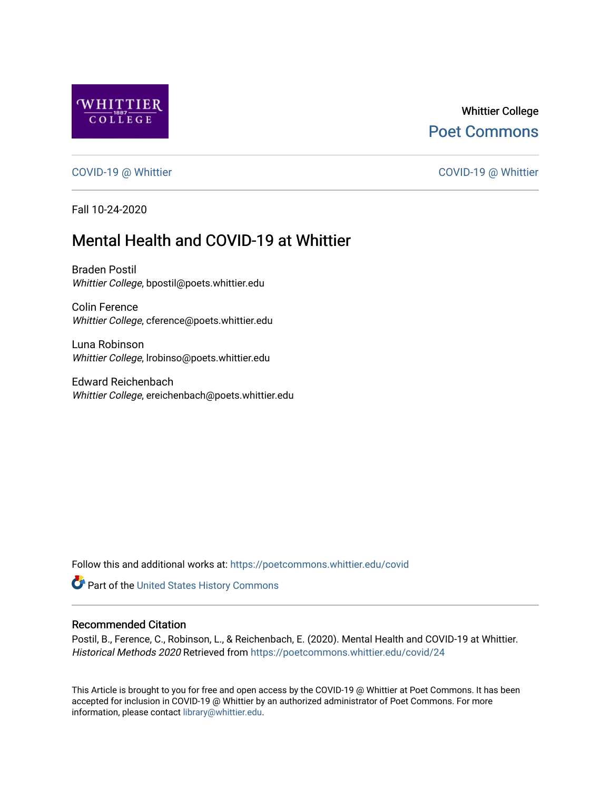

## Whittier College [Poet Commons](https://poetcommons.whittier.edu/)

[COVID-19 @ Whittier](https://poetcommons.whittier.edu/covid) [COVID-19 @ Whittier](https://poetcommons.whittier.edu/covid_whittier) 

Fall 10-24-2020

# Mental Health and COVID-19 at Whittier

Braden Postil Whittier College, bpostil@poets.whittier.edu

Colin Ference Whittier College, cference@poets.whittier.edu

Luna Robinson Whittier College, lrobinso@poets.whittier.edu

Edward Reichenbach Whittier College, ereichenbach@poets.whittier.edu

Follow this and additional works at: [https://poetcommons.whittier.edu/covid](https://poetcommons.whittier.edu/covid?utm_source=poetcommons.whittier.edu%2Fcovid%2F24&utm_medium=PDF&utm_campaign=PDFCoverPages)

Part of the [United States History Commons](http://network.bepress.com/hgg/discipline/495?utm_source=poetcommons.whittier.edu%2Fcovid%2F24&utm_medium=PDF&utm_campaign=PDFCoverPages) 

#### Recommended Citation

Postil, B., Ference, C., Robinson, L., & Reichenbach, E. (2020). Mental Health and COVID-19 at Whittier. Historical Methods 2020 Retrieved from [https://poetcommons.whittier.edu/covid/24](https://poetcommons.whittier.edu/covid/24?utm_source=poetcommons.whittier.edu%2Fcovid%2F24&utm_medium=PDF&utm_campaign=PDFCoverPages) 

This Article is brought to you for free and open access by the COVID-19 @ Whittier at Poet Commons. It has been accepted for inclusion in COVID-19 @ Whittier by an authorized administrator of Poet Commons. For more information, please contact [library@whittier.edu.](mailto:library@whittier.edu)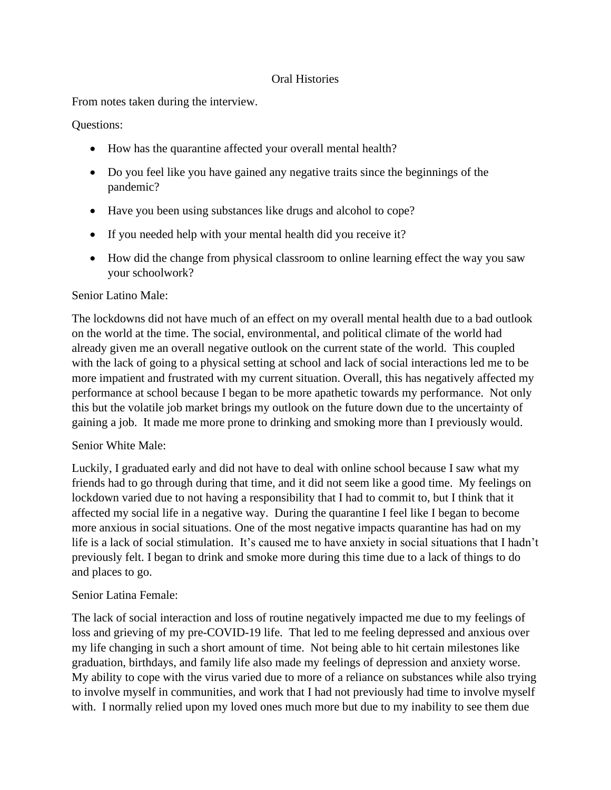#### Oral Histories

From notes taken during the interview.

#### Questions:

- How has the quarantine affected your overall mental health?
- Do you feel like you have gained any negative traits since the beginnings of the pandemic?
- Have you been using substances like drugs and alcohol to cope?
- If you needed help with your mental health did you receive it?
- How did the change from physical classroom to online learning effect the way you saw your schoolwork?

#### Senior Latino Male:

The lockdowns did not have much of an effect on my overall mental health due to a bad outlook on the world at the time. The social, environmental, and political climate of the world had already given me an overall negative outlook on the current state of the world. This coupled with the lack of going to a physical setting at school and lack of social interactions led me to be more impatient and frustrated with my current situation. Overall, this has negatively affected my performance at school because I began to be more apathetic towards my performance. Not only this but the volatile job market brings my outlook on the future down due to the uncertainty of gaining a job. It made me more prone to drinking and smoking more than I previously would.

### Senior White Male:

Luckily, I graduated early and did not have to deal with online school because I saw what my friends had to go through during that time, and it did not seem like a good time. My feelings on lockdown varied due to not having a responsibility that I had to commit to, but I think that it affected my social life in a negative way. During the quarantine I feel like I began to become more anxious in social situations. One of the most negative impacts quarantine has had on my life is a lack of social stimulation. It's caused me to have anxiety in social situations that I hadn't previously felt. I began to drink and smoke more during this time due to a lack of things to do and places to go.

### Senior Latina Female:

The lack of social interaction and loss of routine negatively impacted me due to my feelings of loss and grieving of my pre-COVID-19 life. That led to me feeling depressed and anxious over my life changing in such a short amount of time. Not being able to hit certain milestones like graduation, birthdays, and family life also made my feelings of depression and anxiety worse. My ability to cope with the virus varied due to more of a reliance on substances while also trying to involve myself in communities, and work that I had not previously had time to involve myself with. I normally relied upon my loved ones much more but due to my inability to see them due